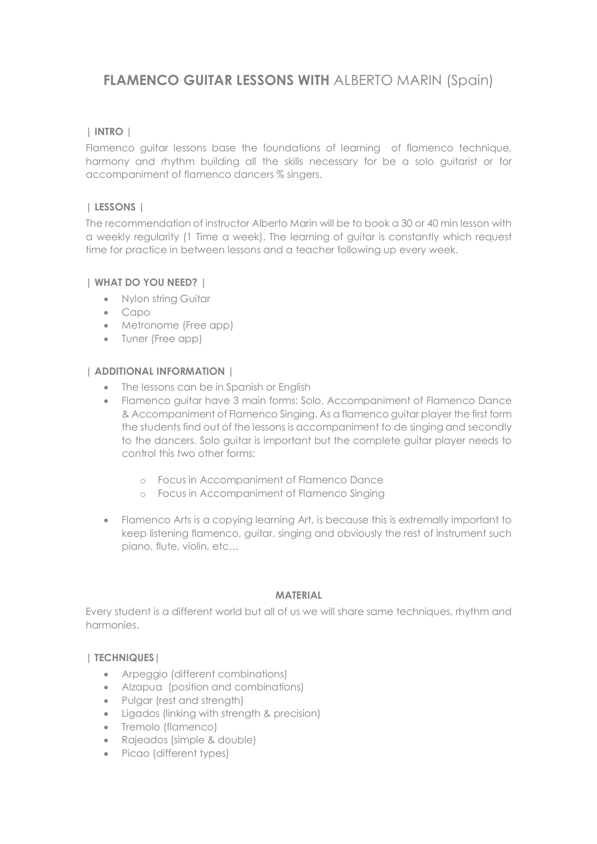# **FLAMENCO GUITAR LESSONS WITH ALBERTO MARIN (Spain)**

# **| INTRO |**

Flamenco guitar lessons base the foundations of learning of flamenco technique, harmony and rhythm building all the skills necessary for be a solo guitarist or for accompaniment of flamenco dancers % singers.

# **| LESSONS |**

The recommendation of instructor Alberto Marin will be to book a 30 or 40 min lesson with a weekly regularity (1 Time a week). The learning of guitar is constantly which request time for practice in between lessons and a teacher following up every week.

# **| WHAT DO YOU NEED? |**

- Nylon string Guitar
- Capo
- Metronome (Free app)
- Tuner (Free app)

# **| ADDITIONAL INFORMATION |**

- The lessons can be in Spanish or English
- Flamenco guitar have 3 main forms: Solo, Accompaniment of Flamenco Dance & Accompaniment of Flamenco Singing. As a flamenco guitar player the first form the students find out of the lessons is accompaniment to de singing and secondly to the dancers. Solo guitar is important but the complete guitar player needs to control this two other forms:
	- o Focus in Accompaniment of Flamenco Dance
	- o Focus in Accompaniment of Flamenco Singing
- Flamenco Arts is a copying learning Art, is because this is extremally important to keep listening flamenco, guitar, singing and obviously the rest of instrument such piano, flute, violin, etc…

#### **MATERIAL**

Every student is a different world but all of us we will share same techniques, rhythm and harmonies.

# **| TECHNIQUES|**

- Arpeggio (different combinations)
- Alzapua (position and combinations)
- Pulgar (rest and strength)
- Ligados (linking with strength & precision)
- Tremolo (flamenco)
- Rajeados (simple & double)
- Picao (different types)